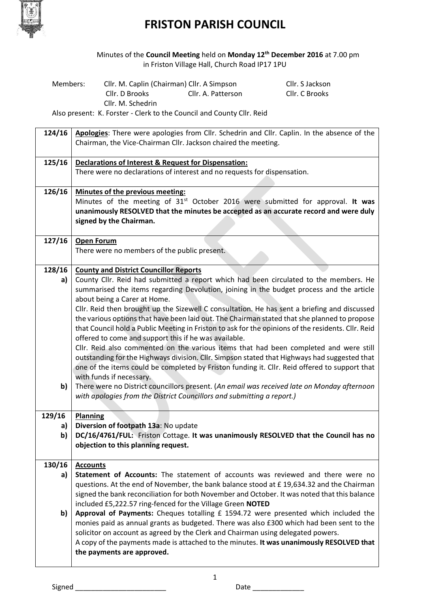

Minutes of the **Council Meeting** held on **Monday 12th December 2016** at 7.00 pm in Friston Village Hall, Church Road IP17 1PU

| Members: | Cllr. M. Caplin (Chairman) Cllr. A Simpson | Cllr. S Jackson                                                                                |                |
|----------|--------------------------------------------|------------------------------------------------------------------------------------------------|----------------|
|          | Cllr. D Brooks                             | Cllr. A. Patterson                                                                             | Cllr. C Brooks |
|          | Cllr. M. Schedrin                          |                                                                                                |                |
|          |                                            | المفادح والتراكب ويستحيرها والمستور والمستحل والمستنقص والمستنقص والمستحدث والمستحدث والمستحدث |                |

Also present: K. Forster - Clerk to the Council and County Cllr. Reid

| 124/16   | Apologies: There were apologies from Cllr. Schedrin and Cllr. Caplin. In the absence of the                                                                                                                                                                                                                                                                                                                                                          |
|----------|------------------------------------------------------------------------------------------------------------------------------------------------------------------------------------------------------------------------------------------------------------------------------------------------------------------------------------------------------------------------------------------------------------------------------------------------------|
|          | Chairman, the Vice-Chairman Cllr. Jackson chaired the meeting.                                                                                                                                                                                                                                                                                                                                                                                       |
| 125/16   | <b>Declarations of Interest &amp; Request for Dispensation:</b>                                                                                                                                                                                                                                                                                                                                                                                      |
|          | There were no declarations of interest and no requests for dispensation.                                                                                                                                                                                                                                                                                                                                                                             |
| 126/16   | Minutes of the previous meeting:<br>Minutes of the meeting of 31 <sup>st</sup> October 2016 were submitted for approval. It was<br>unanimously RESOLVED that the minutes be accepted as an accurate record and were duly<br>signed by the Chairman.                                                                                                                                                                                                  |
| 127/16   | <b>Open Forum</b><br>There were no members of the public present.                                                                                                                                                                                                                                                                                                                                                                                    |
| 128/16   | <b>County and District Councillor Reports</b>                                                                                                                                                                                                                                                                                                                                                                                                        |
| a)       | County Cllr. Reid had submitted a report which had been circulated to the members. He<br>summarised the items regarding Devolution, joining in the budget process and the article<br>about being a Carer at Home.                                                                                                                                                                                                                                    |
|          | Cllr. Reid then brought up the Sizewell C consultation. He has sent a briefing and discussed<br>the various options that have been laid out. The Chairman stated that she planned to propose<br>that Council hold a Public Meeting in Friston to ask for the opinions of the residents. Cllr. Reid<br>offered to come and support this if he was available.<br>Cllr. Reid also commented on the various items that had been completed and were still |
|          | outstanding for the Highways division. Cllr. Simpson stated that Highways had suggested that<br>one of the items could be completed by Friston funding it. Cllr. Reid offered to support that<br>with funds if necessary.                                                                                                                                                                                                                            |
| b)       | There were no District councillors present. (An email was received late on Monday afternoon<br>with apologies from the District Councillors and submitting a report.)                                                                                                                                                                                                                                                                                |
| 129/16   | <b>Planning</b>                                                                                                                                                                                                                                                                                                                                                                                                                                      |
| a)<br>b) | Diversion of footpath 13a: No update<br>DC/16/4761/FUL: Friston Cottage. It was unanimously RESOLVED that the Council has no<br>objection to this planning request.                                                                                                                                                                                                                                                                                  |
|          |                                                                                                                                                                                                                                                                                                                                                                                                                                                      |
| 130/16   | <b>Accounts</b>                                                                                                                                                                                                                                                                                                                                                                                                                                      |
| a)       | Statement of Accounts: The statement of accounts was reviewed and there were no                                                                                                                                                                                                                                                                                                                                                                      |
|          | questions. At the end of November, the bank balance stood at £19,634.32 and the Chairman<br>signed the bank reconciliation for both November and October. It was noted that this balance                                                                                                                                                                                                                                                             |
| b)       | included £5,222.57 ring-fenced for the Village Green NOTED<br>Approval of Payments: Cheques totalling £ 1594.72 were presented which included the                                                                                                                                                                                                                                                                                                    |
|          | monies paid as annual grants as budgeted. There was also £300 which had been sent to the<br>solicitor on account as agreed by the Clerk and Chairman using delegated powers.<br>A copy of the payments made is attached to the minutes. It was unanimously RESOLVED that<br>the payments are approved.                                                                                                                                               |
|          |                                                                                                                                                                                                                                                                                                                                                                                                                                                      |

Signed \_\_\_\_\_\_\_\_\_\_\_\_\_\_\_\_\_\_\_\_\_\_\_ Date \_\_\_\_\_\_\_\_\_\_\_\_\_

1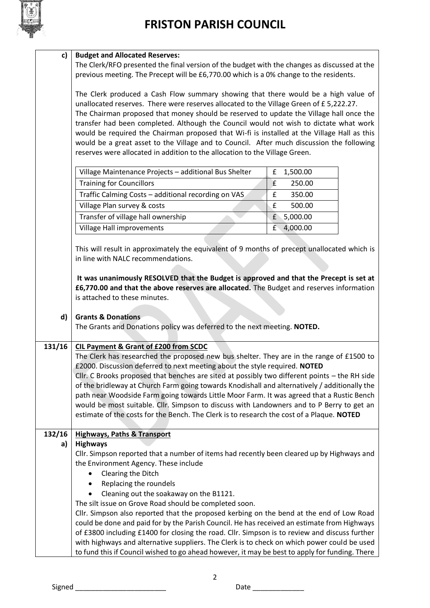

|  | c)   Budget and Allocated Reserves: |
|--|-------------------------------------|
|--|-------------------------------------|

The Clerk/RFO presented the final version of the budget with the changes as discussed at the previous meeting. The Precept will be £6,770.00 which is a 0% change to the residents.

The Clerk produced a Cash Flow summary showing that there would be a high value of unallocated reserves. There were reserves allocated to the Village Green of £ 5,222.27. The Chairman proposed that money should be reserved to update the Village hall once the transfer had been completed. Although the Council would not wish to dictate what work would be required the Chairman proposed that Wi-fi is installed at the Village Hall as this would be a great asset to the Village and to Council. After much discussion the following reserves were allocated in addition to the allocation to the Village Green.

| Village Maintenance Projects - additional Bus Shelter |   | £ 1,500.00 |
|-------------------------------------------------------|---|------------|
| <b>Training for Councillors</b>                       |   | 250.00     |
| Traffic Calming Costs - additional recording on VAS   |   | 350.00     |
| Village Plan survey & costs                           | f | 500.00     |
| Transfer of village hall ownership                    | f | 5,000.00   |
| Village Hall improvements                             |   | 4,000.00   |

This will result in approximately the equivalent of 9 months of precept unallocated which is in line with NALC recommendations.

**It was unanimously RESOLVED that the Budget is approved and that the Precept is set at £6,770.00 and that the above reserves are allocated.** The Budget and reserves information is attached to these minutes.

### **d) Grants & Donations**

The Grants and Donations policy was deferred to the next meeting. **NOTED.**

## **131/16 CIL Payment & Grant of £200 from SCDC**

The Clerk has researched the proposed new bus shelter. They are in the range of £1500 to £2000. Discussion deferred to next meeting about the style required. **NOTED** Cllr. C Brooks proposed that benches are sited at possibly two different points – the RH side of the bridleway at Church Farm going towards Knodishall and alternatively / additionally the path near Woodside Farm going towards Little Moor Farm. It was agreed that a Rustic Bench would be most suitable. Cllr. Simpson to discuss with Landowners and to P Berry to get an estimate of the costs for the Bench. The Clerk is to research the cost of a Plaque. **NOTED**

### **132/16 Highways, Paths & Transport**

### **a) Highways**

Cllr. Simpson reported that a number of items had recently been cleared up by Highways and the Environment Agency. These include

- Clearing the Ditch
- Replacing the roundels
- Cleaning out the soakaway on the B1121.
- The silt issue on Grove Road should be completed soon.

Cllr. Simpson also reported that the proposed kerbing on the bend at the end of Low Road could be done and paid for by the Parish Council. He has received an estimate from Highways of £3800 including £1400 for closing the road. Cllr. Simpson is to review and discuss further with highways and alternative suppliers. The Clerk is to check on which power could be used to fund this if Council wished to go ahead however, it may be best to apply for funding. There

2

Signed \_\_\_\_\_\_\_\_\_\_\_\_\_\_\_\_\_\_\_\_\_\_\_ Date \_\_\_\_\_\_\_\_\_\_\_\_\_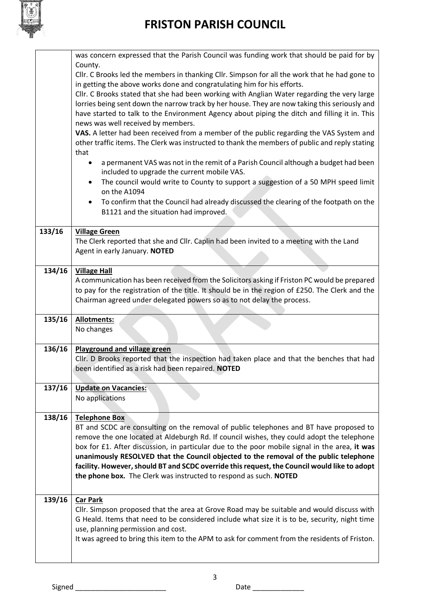

|        | was concern expressed that the Parish Council was funding work that should be paid for by                                                                                                       |
|--------|-------------------------------------------------------------------------------------------------------------------------------------------------------------------------------------------------|
|        | County.                                                                                                                                                                                         |
|        | Cllr. C Brooks led the members in thanking Cllr. Simpson for all the work that he had gone to                                                                                                   |
|        | in getting the above works done and congratulating him for his efforts.                                                                                                                         |
|        | Cllr. C Brooks stated that she had been working with Anglian Water regarding the very large                                                                                                     |
|        | lorries being sent down the narrow track by her house. They are now taking this seriously and                                                                                                   |
|        | have started to talk to the Environment Agency about piping the ditch and filling it in. This                                                                                                   |
|        | news was well received by members.<br>VAS. A letter had been received from a member of the public regarding the VAS System and                                                                  |
|        | other traffic items. The Clerk was instructed to thank the members of public and reply stating                                                                                                  |
|        | that                                                                                                                                                                                            |
|        | a permanent VAS was not in the remit of a Parish Council although a budget had been<br>٠                                                                                                        |
|        | included to upgrade the current mobile VAS.                                                                                                                                                     |
|        | The council would write to County to support a suggestion of a 50 MPH speed limit<br>$\bullet$                                                                                                  |
|        | on the A1094                                                                                                                                                                                    |
|        | To confirm that the Council had already discussed the clearing of the footpath on the<br>$\bullet$                                                                                              |
|        | B1121 and the situation had improved.                                                                                                                                                           |
|        |                                                                                                                                                                                                 |
| 133/16 | <b>Village Green</b>                                                                                                                                                                            |
|        | The Clerk reported that she and Cllr. Caplin had been invited to a meeting with the Land                                                                                                        |
|        | Agent in early January. NOTED                                                                                                                                                                   |
|        |                                                                                                                                                                                                 |
| 134/16 | <b>Village Hall</b>                                                                                                                                                                             |
|        | A communication has been received from the Solicitors asking if Friston PC would be prepared<br>to pay for the registration of the title. It should be in the region of £250. The Clerk and the |
|        | Chairman agreed under delegated powers so as to not delay the process.                                                                                                                          |
|        |                                                                                                                                                                                                 |
|        |                                                                                                                                                                                                 |
| 135/16 |                                                                                                                                                                                                 |
|        | <b>Allotments:</b><br>No changes                                                                                                                                                                |
|        |                                                                                                                                                                                                 |
| 136/16 | <b>Playground and village green</b>                                                                                                                                                             |
|        | Cllr. D Brooks reported that the inspection had taken place and that the benches that had                                                                                                       |
|        | been identified as a risk had been repaired. NOTED                                                                                                                                              |
|        |                                                                                                                                                                                                 |
| 137/16 | <b>Update on Vacancies:</b>                                                                                                                                                                     |
|        | No applications                                                                                                                                                                                 |
|        |                                                                                                                                                                                                 |
| 138/16 | <b>Telephone Box</b>                                                                                                                                                                            |
|        | BT and SCDC are consulting on the removal of public telephones and BT have proposed to<br>remove the one located at Aldeburgh Rd. If council wishes, they could adopt the telephone             |
|        | box for £1. After discussion, in particular due to the poor mobile signal in the area, it was                                                                                                   |
|        | unanimously RESOLVED that the Council objected to the removal of the public telephone                                                                                                           |
|        | facility. However, should BT and SCDC override this request, the Council would like to adopt                                                                                                    |
|        | the phone box. The Clerk was instructed to respond as such. NOTED                                                                                                                               |
|        |                                                                                                                                                                                                 |
| 139/16 | <b>Car Park</b>                                                                                                                                                                                 |
|        | Cllr. Simpson proposed that the area at Grove Road may be suitable and would discuss with                                                                                                       |
|        | G Heald. Items that need to be considered include what size it is to be, security, night time                                                                                                   |
|        | use, planning permission and cost.                                                                                                                                                              |
|        | It was agreed to bring this item to the APM to ask for comment from the residents of Friston.                                                                                                   |
|        |                                                                                                                                                                                                 |

Signed \_\_\_\_\_\_\_\_\_\_\_\_\_\_\_\_\_\_\_\_\_\_\_ Date \_\_\_\_\_\_\_\_\_\_\_\_\_

3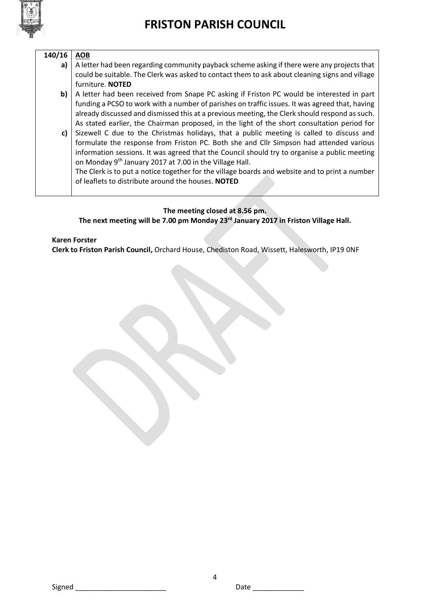

| 140/16 | <b>AOB</b>                                                                                     |
|--------|------------------------------------------------------------------------------------------------|
| a)     | A letter had been regarding community payback scheme asking if there were any projects that    |
|        | could be suitable. The Clerk was asked to contact them to ask about cleaning signs and village |
|        | furniture. NOTED                                                                               |
| b)     | A letter had been received from Snape PC asking if Friston PC would be interested in part      |
|        | funding a PCSO to work with a number of parishes on traffic issues. It was agreed that, having |
|        | already discussed and dismissed this at a previous meeting, the Clerk should respond as such.  |
|        | As stated earlier, the Chairman proposed, in the light of the short consultation period for    |
| c)     | Sizewell C due to the Christmas holidays, that a public meeting is called to discuss and       |
|        | formulate the response from Friston PC. Both she and Cllr Simpson had attended various         |
|        | information sessions. It was agreed that the Council should try to organise a public meeting   |
|        | on Monday 9 <sup>th</sup> January 2017 at 7.00 in the Village Hall.                            |
|        | The Clerk is to put a notice together for the village boards and website and to print a number |
|        | of leaflets to distribute around the houses. NOTED                                             |
|        |                                                                                                |

## **The meeting closed at 8.56 pm.**

**The next meeting will be 7.00 pm Monday 23rd January 2017 in Friston Village Hall.** 

## **Karen Forster**

**Clerk to Friston Parish Council,** Orchard House, Chediston Road, Wissett, Halesworth, IP19 0NF

Signed \_\_\_\_\_\_\_\_\_\_\_\_\_\_\_\_\_\_\_\_\_\_\_ Date \_\_\_\_\_\_\_\_\_\_\_\_\_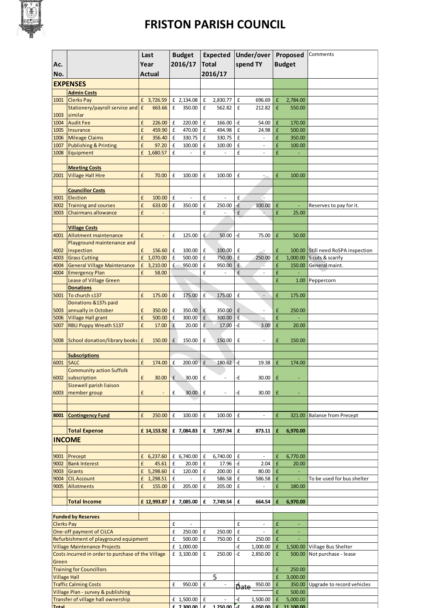

|                                                    |                                                            | Last          |                              | <b>Budget</b>      |                          |                    |                          | Expected Under/over |                          | Proposed                     |                            | Comments                           |
|----------------------------------------------------|------------------------------------------------------------|---------------|------------------------------|--------------------|--------------------------|--------------------|--------------------------|---------------------|--------------------------|------------------------------|----------------------------|------------------------------------|
| Ac.                                                |                                                            | Year          |                              | 2016/17            |                          | <b>Total</b>       |                          | spend TY            |                          | <b>Budget</b>                |                            |                                    |
| No.                                                |                                                            | <b>Actual</b> |                              |                    |                          | 2016/17            |                          |                     |                          |                              |                            |                                    |
| <b>EXPENSES</b>                                    |                                                            |               |                              |                    |                          |                    |                          |                     |                          |                              |                            |                                    |
|                                                    |                                                            |               |                              |                    |                          |                    |                          |                     |                          |                              |                            |                                    |
|                                                    | <b>Admin Costs</b>                                         |               |                              |                    |                          |                    |                          |                     |                          |                              |                            |                                    |
| 1001                                               | <b>Clerks Pay</b><br>Stationery/payroll service and E      | £             | 3,726.59<br>663.66           | £                  | £ 2,134.08<br>350.00     | £<br>£             | 2,830.77<br>562.82       | £<br>£              | 696.69<br>212.82         | £<br>£                       | 2,784.00<br>550.00         |                                    |
| 1003                                               | similar                                                    |               |                              |                    |                          |                    |                          |                     |                          |                              |                            |                                    |
| 1004                                               | <b>Audit Fee</b>                                           | £             | 226.00                       | £                  | 220.00                   | £                  | 166.00                   | -£                  | 54.00                    | £                            | 170.00                     |                                    |
| 1005                                               | Insurance                                                  | £             | 459.90                       | $\pmb{\mathsf{f}}$ | 470.00                   | £                  | 494.98                   | £                   | 24.98                    | $\pmb{\mathsf{f}}$           | 500.00                     |                                    |
| 1006                                               | <b>Mileage Claims</b>                                      | £             | 356.40                       | £                  | 330.75                   | £                  | 330.75                   | £                   | $\overline{\phantom{a}}$ | £                            | 350.00                     |                                    |
| 1007                                               | <b>Publishing &amp; Printing</b>                           | £             | 97.20                        | £                  | 100.00                   | £                  | 100.00                   | £                   | $\overline{\phantom{a}}$ | £                            | 100.00                     |                                    |
| 1008                                               | Equipment                                                  |               | £ 1,680.57                   | £                  | ÷,                       | £                  |                          | £                   | $\frac{1}{2}$            | £                            |                            |                                    |
|                                                    |                                                            |               |                              |                    |                          |                    |                          |                     |                          |                              |                            |                                    |
|                                                    | <b>Meeting Costs</b>                                       |               |                              |                    |                          |                    |                          |                     |                          |                              |                            |                                    |
| 2001                                               | <b>Village Hall Hire</b>                                   | £             | 70.00                        | £                  | 100.00                   | £                  | 100.00                   | £                   | 5                        | £                            | 100.00                     |                                    |
|                                                    |                                                            |               |                              |                    |                          |                    |                          |                     |                          |                              |                            |                                    |
|                                                    | <b>Councillor Costs</b>                                    |               |                              |                    |                          |                    |                          |                     |                          |                              |                            |                                    |
| 3001                                               | Election                                                   | £             | 100.00                       | £                  | $\overline{a}$           | £                  |                          | £                   | l.                       |                              |                            |                                    |
| 3002                                               | <b>Training and courses</b>                                | £             | 633.00                       | £                  | 350.00                   | £                  | 250.00                   | ٠£                  | 100.00                   | £                            |                            | Reserves to pay for it.            |
| 3003                                               | <b>Chairmans allowance</b>                                 | £             |                              |                    |                          | £                  |                          | £                   |                          | £                            | 25.00                      |                                    |
|                                                    |                                                            |               |                              |                    |                          |                    |                          |                     |                          |                              |                            |                                    |
| 4001                                               | <b>Village Costs</b>                                       | £             |                              | £                  | 125.00                   | £                  | 50.00                    | -£                  | 75.00                    | £                            | 50.00                      |                                    |
|                                                    | <b>Allotment maintenance</b><br>Playground maintenance and |               |                              |                    |                          |                    |                          |                     |                          |                              |                            |                                    |
| 4002                                               | inspection                                                 | £             | 156.60                       | £                  | 100.00                   | £                  | 100.00                   | £                   | ÷                        | £                            |                            | 100.00 Still need RoSPA inspection |
| 4003                                               | <b>Grass Cutting</b>                                       |               | £ 1,070.00                   | £                  | 500.00                   | £                  | 750.00                   | £                   | 250.00                   | £                            |                            | 1,000.00 5 cuts & scarify          |
| 4004                                               | <b>General Village Maintenance</b>                         | £             | 3,210.00                     | £                  | 950.00                   | £                  | 950.00                   | £                   |                          | £                            | 150.00                     | General maint.                     |
| 4004                                               | <b>Emergency Plan</b>                                      | £             | 58.00                        |                    |                          | £                  |                          | £                   |                          | £                            |                            |                                    |
|                                                    | Lease of Village Green                                     |               |                              |                    |                          |                    |                          |                     |                          | £                            | 1.00                       | Peppercorn                         |
|                                                    | <b>Donations</b>                                           |               |                              |                    |                          |                    |                          |                     |                          |                              |                            |                                    |
| 5001                                               | To church s137                                             | £             | 175.00                       | £                  | 175.00                   | £                  | 175.00                   | £                   | $\overline{\phantom{a}}$ | £                            | 175.00                     |                                    |
|                                                    | Donations &137s paid                                       |               |                              |                    |                          |                    |                          |                     |                          |                              |                            |                                    |
| 5003                                               | annually in October                                        | £             | 350.00                       | £                  | 350.00                   | £                  | 350.00                   | £                   | $\frac{1}{2}$            | £                            | 250.00                     |                                    |
| 5006                                               | <b>Village Hall grant</b>                                  | £             | 500.00                       | $\pmb{\text{f}}$   | 300.00                   | $\pmb{\mathsf{f}}$ | 300.00                   | £                   |                          | £                            |                            |                                    |
| 5007                                               | <b>RBLI Poppy Wreath S137</b>                              | £             | 17.00                        | £                  | 20.00                    | £                  | 17.00                    | -£                  | 3.00                     | £                            | 20.00                      |                                    |
|                                                    |                                                            |               |                              |                    |                          |                    |                          |                     |                          |                              |                            |                                    |
| 5008                                               | School donation/library books £                            |               | 150.00                       | $\pmb{\mathsf{f}}$ | 150.00                   | £                  | 150.00                   | £                   | $\overline{\phantom{a}}$ | £                            | 150.00                     |                                    |
|                                                    | <b>Subscriptions</b>                                       |               |                              |                    |                          |                    |                          |                     |                          |                              |                            |                                    |
| 6001                                               | <b>SALC</b>                                                | £             | 174.00                       | £                  | 200.00                   | £                  | 180.62                   | -£                  | 19.38                    | £                            | 174.00                     |                                    |
|                                                    | <b>Community action Suffolk</b>                            |               |                              |                    |                          |                    |                          |                     |                          |                              |                            |                                    |
|                                                    | 6002 subscription                                          | £             | 30.00                        | £                  | 30.00                    | £                  |                          | ٠£                  | 30.00                    | £                            |                            |                                    |
|                                                    | Sizewell parish liaison                                    |               |                              |                    |                          |                    |                          |                     |                          |                              |                            |                                    |
| 6003                                               | member group                                               | £             | $\qquad \qquad \blacksquare$ | £                  | 30.00                    | £                  | $\overline{\phantom{m}}$ | ٠£                  | 30.00                    | £                            | ٠                          |                                    |
|                                                    |                                                            |               |                              |                    |                          |                    |                          |                     |                          |                              |                            |                                    |
|                                                    |                                                            |               |                              |                    |                          |                    |                          |                     |                          |                              |                            |                                    |
| 8001                                               | <b>Contingency Fund</b>                                    | £             | 250.00                       | £                  | 100.00                   | £                  | 100.00                   | £                   | $\overline{\phantom{a}}$ | £                            | 321.00                     | <b>Balance from Precept</b>        |
|                                                    |                                                            |               |                              |                    |                          |                    |                          |                     |                          |                              |                            |                                    |
|                                                    | <b>Total Expense</b>                                       |               | £ 14,153.92                  |                    | £ 7,084.83               | £                  | 7,957.94                 | £                   | 873.11                   | £                            | 6,970.00                   |                                    |
|                                                    | <b>INCOME</b>                                              |               |                              |                    |                          |                    |                          |                     |                          |                              |                            |                                    |
|                                                    |                                                            |               |                              |                    |                          |                    |                          |                     |                          |                              |                            |                                    |
| 9001                                               | Precept                                                    |               | £ $6,237.60$                 |                    | £ 6,740.00               | £                  | 6,740.00                 | £                   | $\overline{\phantom{a}}$ | £                            | 6,770.00                   |                                    |
| 9002                                               | <b>Bank Interest</b>                                       | £             | 45.61                        | £                  | 20.00                    | £                  | 17.96                    | -£                  | 2.04                     | £                            | 20.00                      |                                    |
| 9003                                               | <b>Grants</b>                                              |               | £ 5,298.60                   | £                  | 120.00                   | £                  | 200.00                   | £                   | 80.00                    | £                            | $\blacksquare$             |                                    |
| 9004                                               | <b>CIL Account</b>                                         |               | £ 1,298.51                   | £                  |                          | £                  | 586.58                   | £                   | 586.58                   | £                            |                            | To be used for bus shelter         |
| 9005                                               | <b>Allotments</b>                                          | £             | 155.00                       | £                  | 205.00                   | £                  | 205.00                   | £                   | $\sim$                   | £                            | 180.00                     |                                    |
|                                                    |                                                            |               |                              |                    |                          |                    |                          |                     |                          |                              |                            |                                    |
|                                                    | <b>Total Income</b>                                        |               | £ 12,993.87                  |                    | £ 7,085.00               | £                  | 7,749.54                 | £                   | 664.54                   | £                            | 6,970.00                   |                                    |
|                                                    |                                                            |               |                              |                    |                          |                    |                          |                     |                          |                              |                            |                                    |
|                                                    | <b>Funded by Reserves</b>                                  |               |                              | £                  | $\overline{\phantom{a}}$ |                    |                          | £                   | $\bar{\phantom{a}}$      | £                            |                            |                                    |
| <b>Clerks Pay</b><br>One-off payment of CiLCA      |                                                            | £             | 250.00                       | £                  | 250.00                   | £                  | $\blacksquare$           | £                   | ٠                        |                              |                            |                                    |
| Refurbishment of playground equipment              |                                                            |               | £                            | 500.00             | £                        | 750.00             | £                        | 250.00              | £                        |                              |                            |                                    |
| <b>Village Maintenance Projects</b>                |                                                            |               | £ 1,000.00                   |                    |                          | ٠£                 | 1,000.00                 | £                   |                          | 1,500.00 Village Bus Shelter |                            |                                    |
| Costs incurred in order to purchase of the Village |                                                            |               | £ 3,100.00                   | £                  | 250.00                   | -£                 | 2,850.00                 | £                   | 500.00                   | Not purchase - lease         |                            |                                    |
| Green                                              |                                                            |               |                              |                    |                          |                    |                          |                     |                          |                              |                            |                                    |
| <b>Training for Councillors</b>                    |                                                            |               |                              |                    |                          |                    |                          |                     | £                        | 250.00                       |                            |                                    |
| <b>Village Hall</b>                                |                                                            |               |                              |                    |                          | 5                  |                          |                     | £                        | 3,000.00                     |                            |                                    |
| <b>Traffic Calming Costs</b>                       |                                                            |               | £                            | 950.00             | £                        | $\omega$           | <del>Ďate</del>          | 950.00              | £                        | 350.00                       | Upgrade to record vehicles |                                    |
| Village Plan - survey & publishing                 |                                                            |               |                              |                    |                          |                    |                          |                     | £                        | 500.00                       |                            |                                    |
|                                                    | Transfer of village hall ownership                         |               |                              |                    | £ 1,500.00               | £                  |                          | -£                  | 1,500.00                 | £                            | 5,000.00                   |                                    |
| Total                                              | <u>£ 7.300.00 £</u>                                        |               | $1.250,00$                   |                    | 6.050.00 F               |                    | 11,100,00                |                     |                          |                              |                            |                                    |